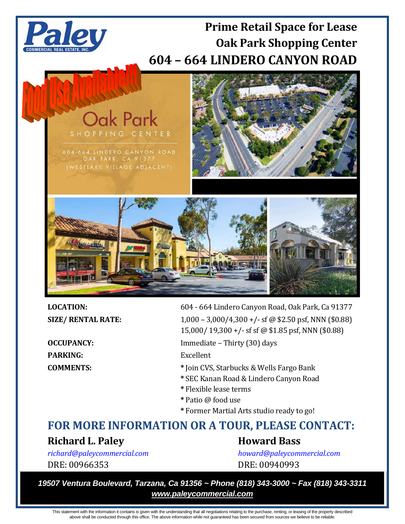

**Oak Park** 

604-664 LINDERO CANYON ROAD OAK PARK, CA 91377 (WESTLAKE VILLAGE ADJACENT)

# **Prime Retail Space for Lease Oak Park Shopping Center 604 – 664 LINDERO CANYON ROAD**





PARKING: Excellent

**LOCATION:** 604 - 664 Lindero Canyon Road, Oak Park, Ca 91377

**SIZE/ RENTAL RATE:** 1,000 – 3,000/4,300 +/- sf @ \$2.50 psf, NNN (\$0.88) 15,000/ 19,300 +/- sf sf @ \$1.85 psf, NNN (\$0.88)

**OCCUPANCY:** Immediate – Thirty (30) days

- **COMMENTS: \*** Join CVS, Starbucks & Wells Fargo Bank
	- **\*** SEC Kanan Road & Lindero Canyon Road
	- **\*** Flexible lease terms
	- **\*** Patio @ food use
	- **\*** Former Martial Arts studio ready to go!

# **FOR MORE INFORMATION OR A TOUR, PLEASE CONTACT:**

## **Richard L. Paley Howard Bass**

DRE: 00966353 DRE: 00940993

*[richard@paleycommercial.com](mailto:richard@paleycommercial.com) [howard@paleycommercial.com](mailto:howard@paleycommercial.com)*

*19507 Ventura Boulevard, Tarzana, Ca 91356 ~ Phone (818) 343-3000 ~ Fax (818) 343-3311 www.paleycommercial.com*

This statement with the information it contains is given with the understanding that all negotiations relating to the purchase, renting, or leasing of the property described above shall be conducted through this office. The above information while not guaranteed has been secured from sources we believe to be reliable.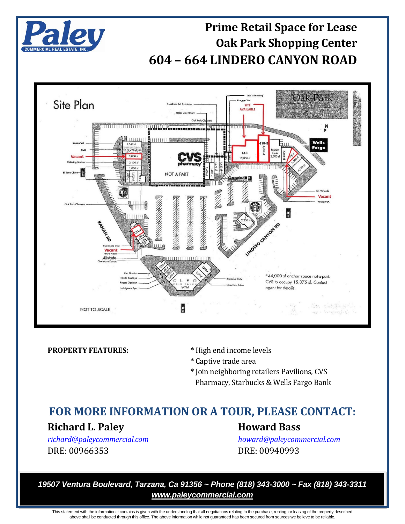

## **Prime Retail Space for Lease Oak Park Shopping Center 604 – 664 LINDERO CANYON ROAD**



**PROPERTY FEATURES:**  $*$  High end income levels

- 
- **\*** Captive trade area
- **\*** Join neighboring retailers Pavilions, CVS Pharmacy, Starbucks & Wells Fargo Bank

## **FOR MORE INFORMATION OR A TOUR, PLEASE CONTACT:** Richard L. Paley **Howard Bass**

DRE: 00966353 DRE: 00940993

*[richard@paleycommercial.com](mailto:richard@paleycommercial.com) [howard@paleycommercial.com](mailto:howard@paleycommercial.com)*

*19507 Ventura Boulevard, Tarzana, Ca 91356 ~ Phone (818) 343-3000 ~ Fax (818) 343-3311 www.paleycommercial.com*

This statement with the information it contains is given with the understanding that all negotiations relating to the purchase, renting, or leasing of the property described above shall be conducted through this office. The above information while not guaranteed has been secured from sources we believe to be reliable.